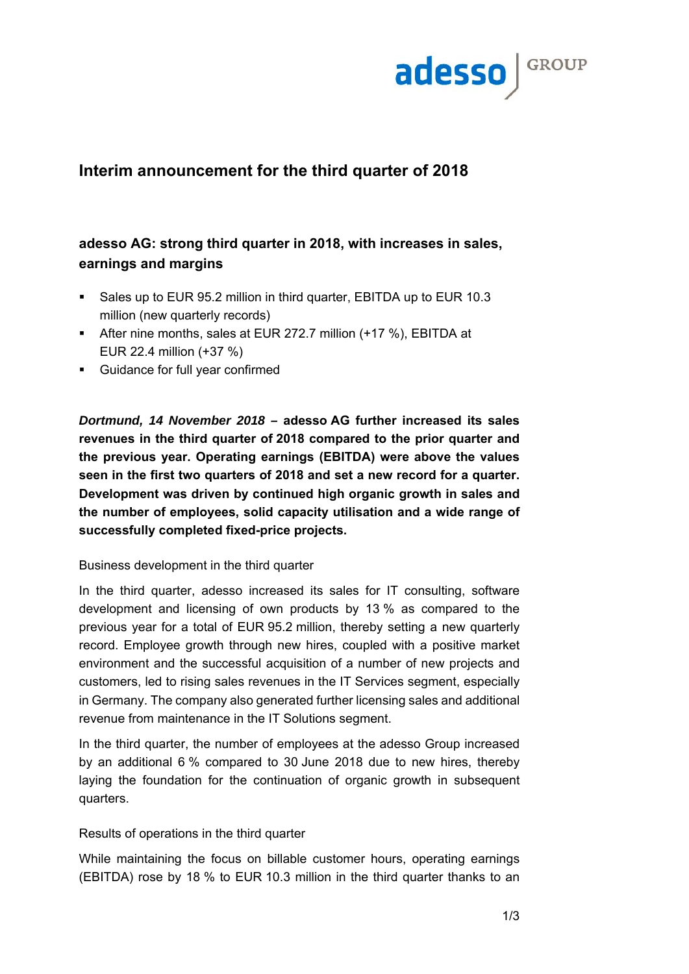

# **Interim announcement for the third quarter of 2018**

# **adesso AG: strong third quarter in 2018, with increases in sales, earnings and margins**

- Sales up to EUR 95.2 million in third quarter, EBITDA up to EUR 10.3 million (new quarterly records)
- After nine months, sales at EUR 272.7 million (+17 %), EBITDA at EUR 22.4 million (+37 %)
- Guidance for full year confirmed

*Dortmund, 14 November 2018 –* **adesso AG further increased its sales revenues in the third quarter of 2018 compared to the prior quarter and the previous year. Operating earnings (EBITDA) were above the values seen in the first two quarters of 2018 and set a new record for a quarter. Development was driven by continued high organic growth in sales and the number of employees, solid capacity utilisation and a wide range of successfully completed fixed-price projects.** 

### Business development in the third quarter

In the third quarter, adesso increased its sales for IT consulting, software development and licensing of own products by 13 % as compared to the previous year for a total of EUR 95.2 million, thereby setting a new quarterly record. Employee growth through new hires, coupled with a positive market environment and the successful acquisition of a number of new projects and customers, led to rising sales revenues in the IT Services segment, especially in Germany. The company also generated further licensing sales and additional revenue from maintenance in the IT Solutions segment.

In the third quarter, the number of employees at the adesso Group increased by an additional 6 % compared to 30 June 2018 due to new hires, thereby laying the foundation for the continuation of organic growth in subsequent quarters.

## Results of operations in the third quarter

While maintaining the focus on billable customer hours, operating earnings (EBITDA) rose by 18 % to EUR 10.3 million in the third quarter thanks to an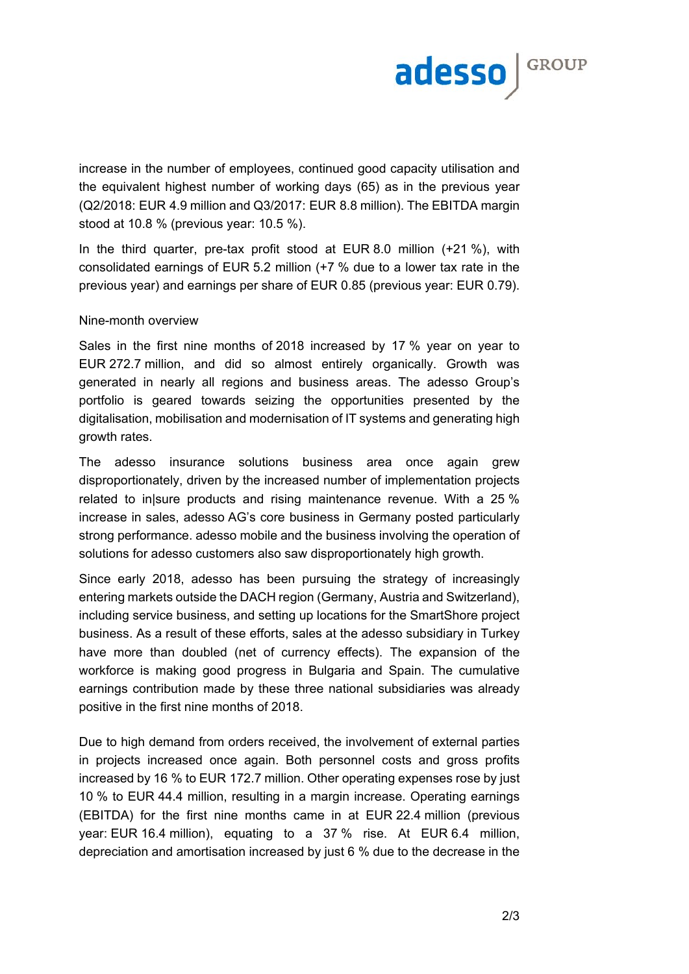

increase in the number of employees, continued good capacity utilisation and the equivalent highest number of working days (65) as in the previous year (Q2/2018: EUR 4.9 million and Q3/2017: EUR 8.8 million). The EBITDA margin stood at 10.8 % (previous year: 10.5 %).

In the third quarter, pre-tax profit stood at EUR 8.0 million (+21 %), with consolidated earnings of EUR 5.2 million (+7 % due to a lower tax rate in the previous year) and earnings per share of EUR 0.85 (previous year: EUR 0.79).

#### Nine-month overview

Sales in the first nine months of 2018 increased by 17 % year on year to EUR 272.7 million, and did so almost entirely organically. Growth was generated in nearly all regions and business areas. The adesso Group's portfolio is geared towards seizing the opportunities presented by the digitalisation, mobilisation and modernisation of IT systems and generating high growth rates.

The adesso insurance solutions business area once again grew disproportionately, driven by the increased number of implementation projects related to in|sure products and rising maintenance revenue. With a 25 % increase in sales, adesso AG's core business in Germany posted particularly strong performance. adesso mobile and the business involving the operation of solutions for adesso customers also saw disproportionately high growth.

Since early 2018, adesso has been pursuing the strategy of increasingly entering markets outside the DACH region (Germany, Austria and Switzerland), including service business, and setting up locations for the SmartShore project business. As a result of these efforts, sales at the adesso subsidiary in Turkey have more than doubled (net of currency effects). The expansion of the workforce is making good progress in Bulgaria and Spain. The cumulative earnings contribution made by these three national subsidiaries was already positive in the first nine months of 2018.

Due to high demand from orders received, the involvement of external parties in projects increased once again. Both personnel costs and gross profits increased by 16 % to EUR 172.7 million. Other operating expenses rose by just 10 % to EUR 44.4 million, resulting in a margin increase. Operating earnings (EBITDA) for the first nine months came in at EUR 22.4 million (previous year: EUR 16.4 million), equating to a 37 % rise. At EUR 6.4 million, depreciation and amortisation increased by just 6 % due to the decrease in the